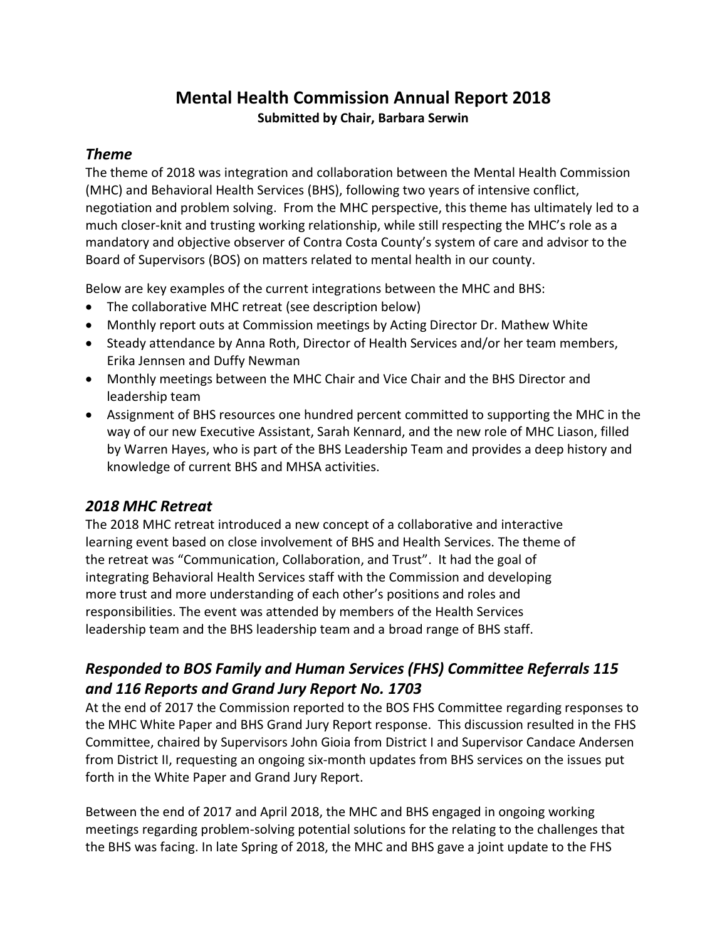## **Mental Health Commission Annual Report 2018 Submitted by Chair, Barbara Serwin**

#### *Theme*

The theme of 2018 was integration and collaboration between the Mental Health Commission (MHC) and Behavioral Health Services (BHS), following two years of intensive conflict, negotiation and problem solving. From the MHC perspective, this theme has ultimately led to a much closer-knit and trusting working relationship, while still respecting the MHC's role as a mandatory and objective observer of Contra Costa County's system of care and advisor to the Board of Supervisors (BOS) on matters related to mental health in our county.

Below are key examples of the current integrations between the MHC and BHS:

- The collaborative MHC retreat (see description below)
- Monthly report outs at Commission meetings by Acting Director Dr. Mathew White
- Steady attendance by Anna Roth, Director of Health Services and/or her team members, Erika Jennsen and Duffy Newman
- Monthly meetings between the MHC Chair and Vice Chair and the BHS Director and leadership team
- Assignment of BHS resources one hundred percent committed to supporting the MHC in the way of our new Executive Assistant, Sarah Kennard, and the new role of MHC Liason, filled by Warren Hayes, who is part of the BHS Leadership Team and provides a deep history and knowledge of current BHS and MHSA activities.

#### *2018 MHC Retreat*

The 2018 MHC retreat introduced a new concept of a collaborative and interactive learning event based on close involvement of BHS and Health Services. The theme of the retreat was "Communication, Collaboration, and Trust". It had the goal of integrating Behavioral Health Services staff with the Commission and developing more trust and more understanding of each other's positions and roles and responsibilities. The event was attended by members of the Health Services leadership team and the BHS leadership team and a broad range of BHS staff.

## *Responded to BOS Family and Human Services (FHS) Committee Referrals 115 and 116 Reports and Grand Jury Report No. 1703*

At the end of 2017 the Commission reported to the BOS FHS Committee regarding responses to the MHC White Paper and BHS Grand Jury Report response. This discussion resulted in the FHS Committee, chaired by Supervisors John Gioia from District I and Supervisor Candace Andersen from District II, requesting an ongoing six-month updates from BHS services on the issues put forth in the White Paper and Grand Jury Report.

Between the end of 2017 and April 2018, the MHC and BHS engaged in ongoing working meetings regarding problem-solving potential solutions for the relating to the challenges that the BHS was facing. In late Spring of 2018, the MHC and BHS gave a joint update to the FHS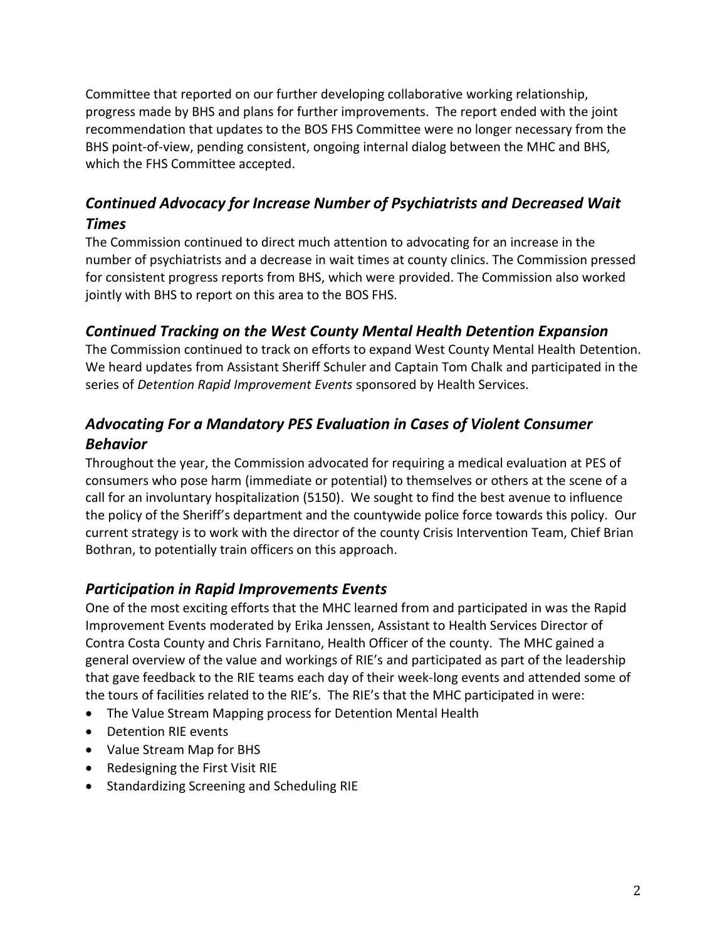Committee that reported on our further developing collaborative working relationship, progress made by BHS and plans for further improvements. The report ended with the joint recommendation that updates to the BOS FHS Committee were no longer necessary from the BHS point-of-view, pending consistent, ongoing internal dialog between the MHC and BHS, which the FHS Committee accepted.

## *Continued Advocacy for Increase Number of Psychiatrists and Decreased Wait Times*

The Commission continued to direct much attention to advocating for an increase in the number of psychiatrists and a decrease in wait times at county clinics. The Commission pressed for consistent progress reports from BHS, which were provided. The Commission also worked jointly with BHS to report on this area to the BOS FHS.

#### *Continued Tracking on the West County Mental Health Detention Expansion*

The Commission continued to track on efforts to expand West County Mental Health Detention. We heard updates from Assistant Sheriff Schuler and Captain Tom Chalk and participated in the series of *Detention Rapid Improvement Events* sponsored by Health Services.

## *Advocating For a Mandatory PES Evaluation in Cases of Violent Consumer Behavior*

Throughout the year, the Commission advocated for requiring a medical evaluation at PES of consumers who pose harm (immediate or potential) to themselves or others at the scene of a call for an involuntary hospitalization (5150). We sought to find the best avenue to influence the policy of the Sheriff's department and the countywide police force towards this policy. Our current strategy is to work with the director of the county Crisis Intervention Team, Chief Brian Bothran, to potentially train officers on this approach.

#### *Participation in Rapid Improvements Events*

One of the most exciting efforts that the MHC learned from and participated in was the Rapid Improvement Events moderated by Erika Jenssen, Assistant to Health Services Director of Contra Costa County and Chris Farnitano, Health Officer of the county. The MHC gained a general overview of the value and workings of RIE's and participated as part of the leadership that gave feedback to the RIE teams each day of their week-long events and attended some of the tours of facilities related to the RIE's. The RIE's that the MHC participated in were:

- The Value Stream Mapping process for Detention Mental Health
- Detention RIE events
- Value Stream Map for BHS
- Redesigning the First Visit RIE
- **•** Standardizing Screening and Scheduling RIE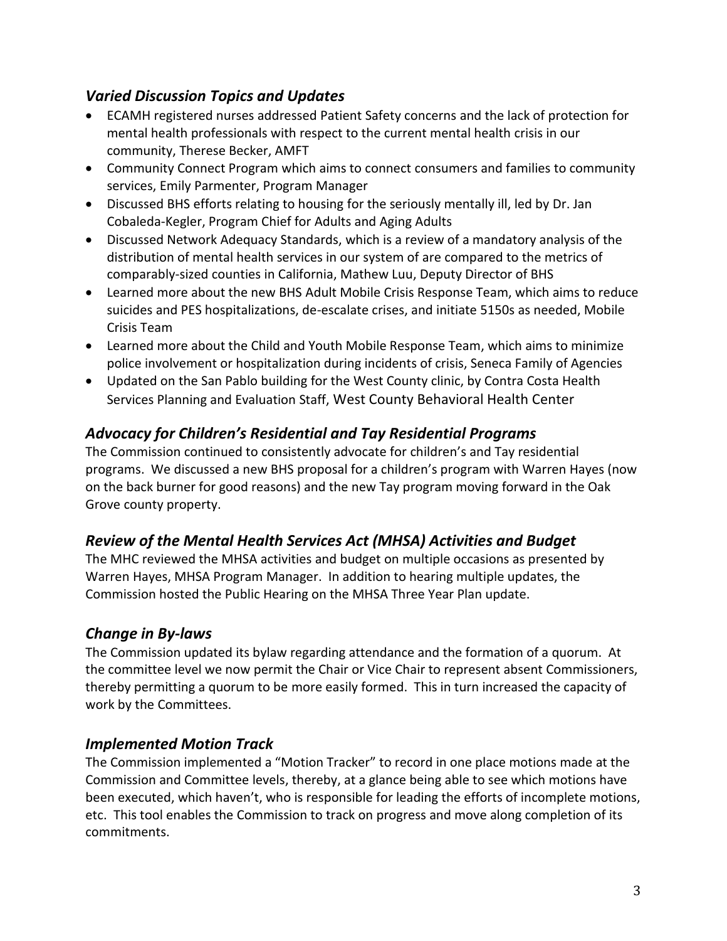### *Varied Discussion Topics and Updates*

- ECAMH registered nurses addressed Patient Safety concerns and the lack of protection for mental health professionals with respect to the current mental health crisis in our community, Therese Becker, AMFT
- Community Connect Program which aims to connect consumers and families to community services, Emily Parmenter, Program Manager
- Discussed BHS efforts relating to housing for the seriously mentally ill, led by Dr. Jan Cobaleda-Kegler, Program Chief for Adults and Aging Adults
- Discussed Network Adequacy Standards, which is a review of a mandatory analysis of the distribution of mental health services in our system of are compared to the metrics of comparably-sized counties in California, Mathew Luu, Deputy Director of BHS
- Learned more about the new BHS Adult Mobile Crisis Response Team, which aims to reduce suicides and PES hospitalizations, de-escalate crises, and initiate 5150s as needed, Mobile Crisis Team
- Learned more about the Child and Youth Mobile Response Team, which aims to minimize police involvement or hospitalization during incidents of crisis, Seneca Family of Agencies
- Updated on the San Pablo building for the West County clinic, by Contra Costa Health Services Planning and Evaluation Staff, West County Behavioral Health Center

## *Advocacy for Children's Residential and Tay Residential Programs*

The Commission continued to consistently advocate for children's and Tay residential programs. We discussed a new BHS proposal for a children's program with Warren Hayes (now on the back burner for good reasons) and the new Tay program moving forward in the Oak Grove county property.

## *Review of the Mental Health Services Act (MHSA) Activities and Budget*

The MHC reviewed the MHSA activities and budget on multiple occasions as presented by Warren Hayes, MHSA Program Manager. In addition to hearing multiple updates, the Commission hosted the Public Hearing on the MHSA Three Year Plan update.

## *Change in By-laws*

The Commission updated its bylaw regarding attendance and the formation of a quorum. At the committee level we now permit the Chair or Vice Chair to represent absent Commissioners, thereby permitting a quorum to be more easily formed. This in turn increased the capacity of work by the Committees.

#### *Implemented Motion Track*

The Commission implemented a "Motion Tracker" to record in one place motions made at the Commission and Committee levels, thereby, at a glance being able to see which motions have been executed, which haven't, who is responsible for leading the efforts of incomplete motions, etc. This tool enables the Commission to track on progress and move along completion of its commitments.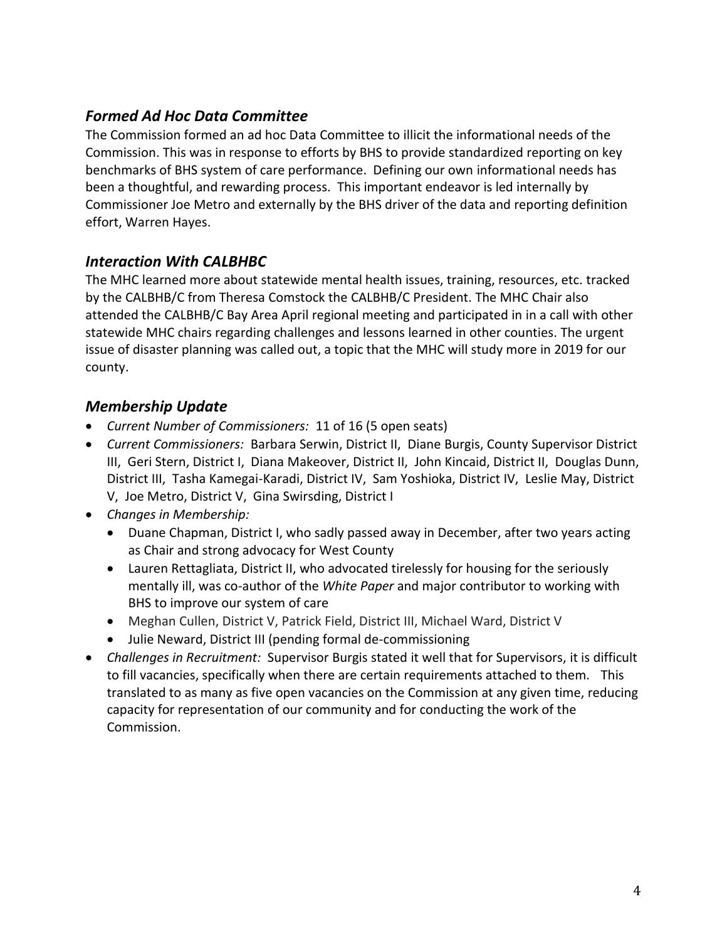#### *Formed Ad Hoc Data Committee*

The Commission formed an ad hoc Data Committee to illicit the informational needs of the Commission. This was in response to efforts by BHS to provide standardized reporting on key benchmarks of BHS system of care performance. Defining our own informational needs has been a thoughtful, and rewarding process. This important endeavor is led internally by Commissioner Joe Metro and externally by the BHS driver of the data and reporting definition effort, Warren Hayes.

#### *Interaction With CALBHBC*

The MHC learned more about statewide mental health issues, training, resources, etc. tracked by the CALBHB/C from Theresa Comstock the CALBHB/C President. The MHC Chair also attended the CALBHB/C Bay Area April regional meeting and participated in in a call with other statewide MHC chairs regarding challenges and lessons learned in other counties. The urgent issue of disaster planning was called out, a topic that the MHC will study more in 2019 for our county.

### *Membership Update*

- *Current Number of Commissioners:* 11 of 16 (5 open seats)
- *Current Commissioners:* Barbara Serwin, District II, Diane Burgis, County Supervisor District III, Geri Stern, District I, Diana Makeover, District II, John Kincaid, District II, Douglas Dunn, District III, Tasha Kamegai-Karadi, District IV, Sam Yoshioka, District IV, Leslie May, District V, Joe Metro, District V, Gina Swirsding, District I
- *Changes in Membership:* 
	- Duane Chapman, District I, who sadly passed away in December, after two years acting as Chair and strong advocacy for West County
	- Lauren Rettagliata, District II, who advocated tirelessly for housing for the seriously mentally ill, was co-author of the *White Paper* and major contributor to working with BHS to improve our system of care
	- Meghan Cullen, District V, Patrick Field, District III, Michael Ward, District V
	- Julie Neward, District III (pending formal de-commissioning
- *Challenges in Recruitment:* Supervisor Burgis stated it well that for Supervisors, it is difficult to fill vacancies, specifically when there are certain requirements attached to them. This translated to as many as five open vacancies on the Commission at any given time, reducing capacity for representation of our community and for conducting the work of the Commission.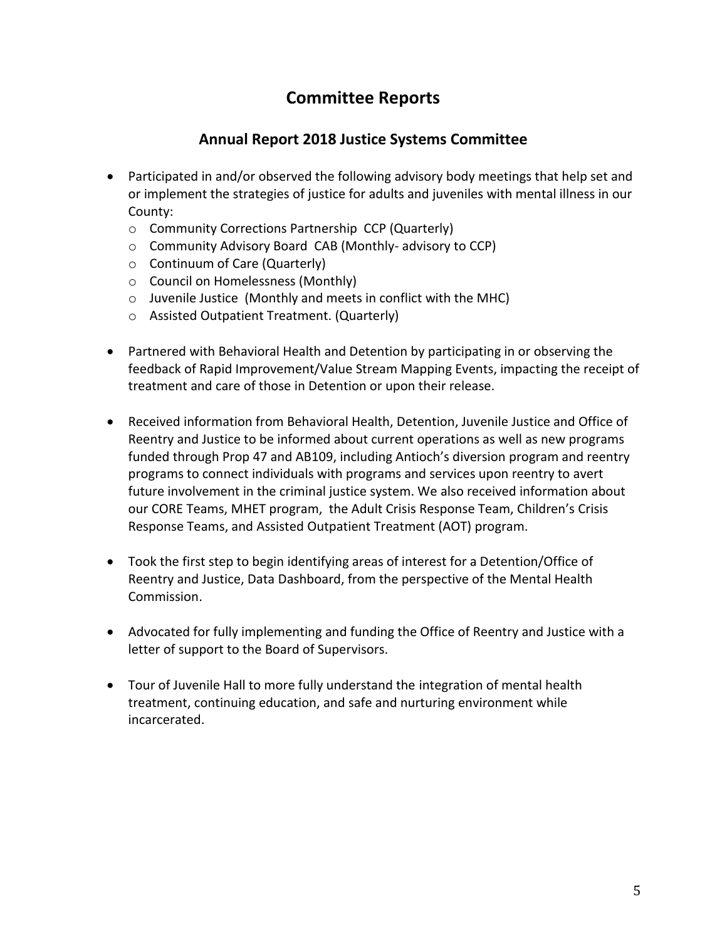# **Committee Reports**

### **Annual Report 2018 Justice Systems Committee**

- Participated in and/or observed the following advisory body meetings that help set and or implement the strategies of justice for adults and juveniles with mental illness in our County:
	- o Community Corrections Partnership CCP (Quarterly)
	- o Community Advisory Board CAB (Monthly- advisory to CCP)
	- o Continuum of Care (Quarterly)
	- o Council on Homelessness (Monthly)
	- o Juvenile Justice (Monthly and meets in conflict with the MHC)
	- o Assisted Outpatient Treatment. (Quarterly)
- Partnered with Behavioral Health and Detention by participating in or observing the feedback of Rapid Improvement/Value Stream Mapping Events, impacting the receipt of treatment and care of those in Detention or upon their release.
- Received information from Behavioral Health, Detention, Juvenile Justice and Office of Reentry and Justice to be informed about current operations as well as new programs funded through Prop 47 and AB109, including Antioch's diversion program and reentry programs to connect individuals with programs and services upon reentry to avert future involvement in the criminal justice system. We also received information about our CORE Teams, MHET program, the Adult Crisis Response Team, Children's Crisis Response Teams, and Assisted Outpatient Treatment (AOT) program.
- Took the first step to begin identifying areas of interest for a Detention/Office of Reentry and Justice, Data Dashboard, from the perspective of the Mental Health Commission.
- Advocated for fully implementing and funding the Office of Reentry and Justice with a letter of support to the Board of Supervisors.
- Tour of Juvenile Hall to more fully understand the integration of mental health treatment, continuing education, and safe and nurturing environment while incarcerated.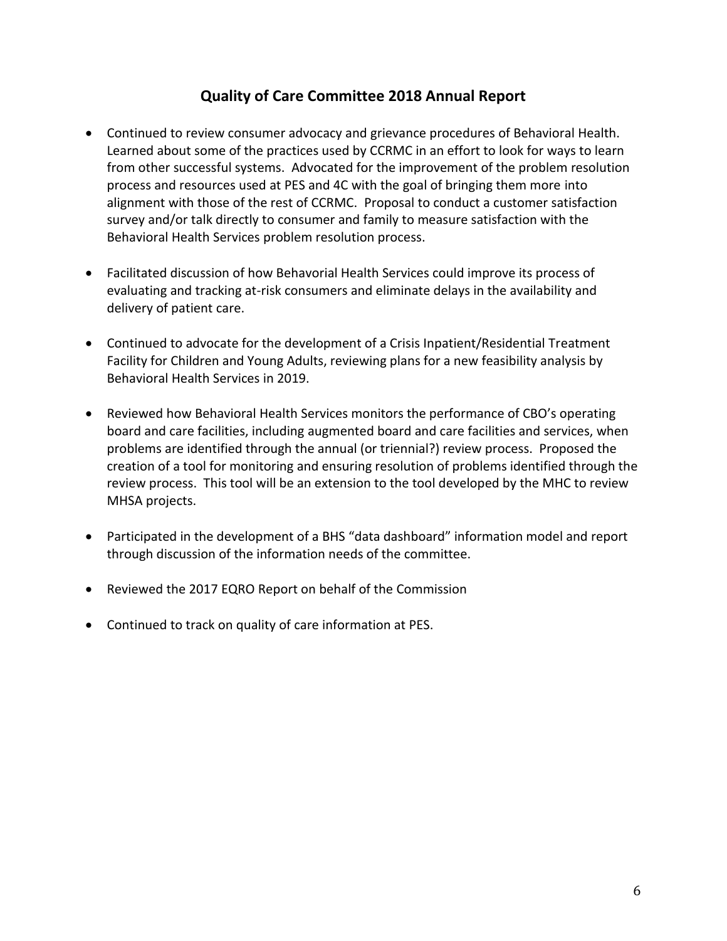### **Quality of Care Committee 2018 Annual Report**

- Continued to review consumer advocacy and grievance procedures of Behavioral Health. Learned about some of the practices used by CCRMC in an effort to look for ways to learn from other successful systems. Advocated for the improvement of the problem resolution process and resources used at PES and 4C with the goal of bringing them more into alignment with those of the rest of CCRMC. Proposal to conduct a customer satisfaction survey and/or talk directly to consumer and family to measure satisfaction with the Behavioral Health Services problem resolution process.
- Facilitated discussion of how Behavorial Health Services could improve its process of evaluating and tracking at-risk consumers and eliminate delays in the availability and delivery of patient care.
- Continued to advocate for the development of a Crisis Inpatient/Residential Treatment Facility for Children and Young Adults, reviewing plans for a new feasibility analysis by Behavioral Health Services in 2019.
- Reviewed how Behavioral Health Services monitors the performance of CBO's operating board and care facilities, including augmented board and care facilities and services, when problems are identified through the annual (or triennial?) review process. Proposed the creation of a tool for monitoring and ensuring resolution of problems identified through the review process. This tool will be an extension to the tool developed by the MHC to review MHSA projects.
- Participated in the development of a BHS "data dashboard" information model and report through discussion of the information needs of the committee.
- Reviewed the 2017 EQRO Report on behalf of the Commission
- Continued to track on quality of care information at PES.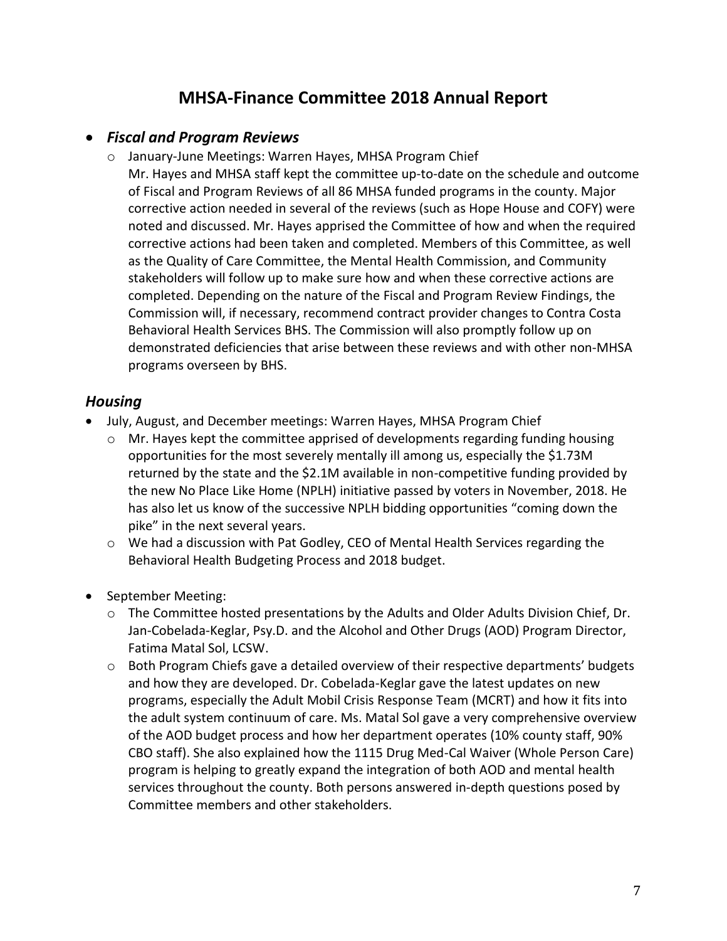# **MHSA-Finance Committee 2018 Annual Report**

#### *Fiscal and Program Reviews*

- o January-June Meetings: Warren Hayes, MHSA Program Chief
	- Mr. Hayes and MHSA staff kept the committee up-to-date on the schedule and outcome of Fiscal and Program Reviews of all 86 MHSA funded programs in the county. Major corrective action needed in several of the reviews (such as Hope House and COFY) were noted and discussed. Mr. Hayes apprised the Committee of how and when the required corrective actions had been taken and completed. Members of this Committee, as well as the Quality of Care Committee, the Mental Health Commission, and Community stakeholders will follow up to make sure how and when these corrective actions are completed. Depending on the nature of the Fiscal and Program Review Findings, the Commission will, if necessary, recommend contract provider changes to Contra Costa Behavioral Health Services BHS. The Commission will also promptly follow up on demonstrated deficiencies that arise between these reviews and with other non-MHSA programs overseen by BHS.

#### *Housing*

- July, August, and December meetings: Warren Hayes, MHSA Program Chief
	- $\circ$  Mr. Hayes kept the committee apprised of developments regarding funding housing opportunities for the most severely mentally ill among us, especially the \$1.73M returned by the state and the \$2.1M available in non-competitive funding provided by the new No Place Like Home (NPLH) initiative passed by voters in November, 2018. He has also let us know of the successive NPLH bidding opportunities "coming down the pike" in the next several years.
	- o We had a discussion with Pat Godley, CEO of Mental Health Services regarding the Behavioral Health Budgeting Process and 2018 budget.
- September Meeting:
	- o The Committee hosted presentations by the Adults and Older Adults Division Chief, Dr. Jan-Cobelada-Keglar, Psy.D. and the Alcohol and Other Drugs (AOD) Program Director, Fatima Matal Sol, LCSW.
	- o Both Program Chiefs gave a detailed overview of their respective departments' budgets and how they are developed. Dr. Cobelada-Keglar gave the latest updates on new programs, especially the Adult Mobil Crisis Response Team (MCRT) and how it fits into the adult system continuum of care. Ms. Matal Sol gave a very comprehensive overview of the AOD budget process and how her department operates (10% county staff, 90% CBO staff). She also explained how the 1115 Drug Med-Cal Waiver (Whole Person Care) program is helping to greatly expand the integration of both AOD and mental health services throughout the county. Both persons answered in-depth questions posed by Committee members and other stakeholders.